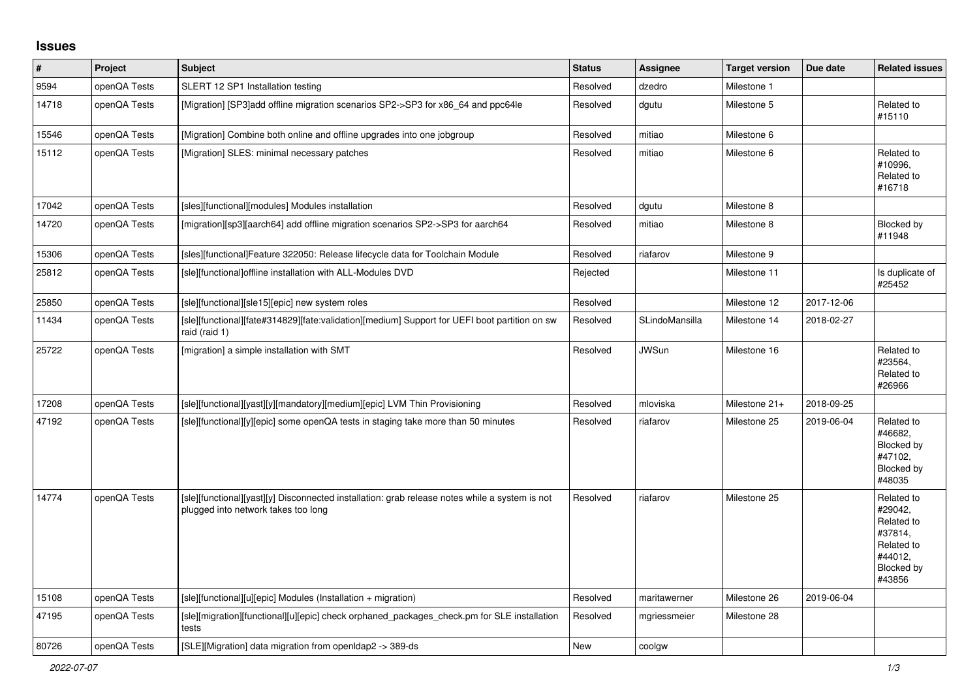## **Issues**

| $\vert$ # | Project      | <b>Subject</b>                                                                                                                        | <b>Status</b> | Assignee       | <b>Target version</b> | Due date   | <b>Related issues</b>                                                                           |
|-----------|--------------|---------------------------------------------------------------------------------------------------------------------------------------|---------------|----------------|-----------------------|------------|-------------------------------------------------------------------------------------------------|
| 9594      | openQA Tests | SLERT 12 SP1 Installation testing                                                                                                     | Resolved      | dzedro         | Milestone 1           |            |                                                                                                 |
| 14718     | openQA Tests | [Migration] [SP3]add offline migration scenarios SP2->SP3 for x86_64 and ppc64le                                                      | Resolved      | dgutu          | Milestone 5           |            | Related to<br>#15110                                                                            |
| 15546     | openQA Tests | [Migration] Combine both online and offline upgrades into one jobgroup                                                                | Resolved      | mitiao         | Milestone 6           |            |                                                                                                 |
| 15112     | openQA Tests | [Migration] SLES: minimal necessary patches                                                                                           | Resolved      | mitiao         | Milestone 6           |            | Related to<br>#10996,<br>Related to<br>#16718                                                   |
| 17042     | openQA Tests | [sles][functional][modules] Modules installation                                                                                      | Resolved      | dgutu          | Milestone 8           |            |                                                                                                 |
| 14720     | openQA Tests | [migration][sp3][aarch64] add offline migration scenarios SP2->SP3 for aarch64                                                        | Resolved      | mitiao         | Milestone 8           |            | Blocked by<br>#11948                                                                            |
| 15306     | openQA Tests | [sles][functional]Feature 322050: Release lifecycle data for Toolchain Module                                                         | Resolved      | riafarov       | Milestone 9           |            |                                                                                                 |
| 25812     | openQA Tests | [sle][functional]offline installation with ALL-Modules DVD                                                                            | Rejected      |                | Milestone 11          |            | Is duplicate of<br>#25452                                                                       |
| 25850     | openQA Tests | [sle][functional][sle15][epic] new system roles                                                                                       | Resolved      |                | Milestone 12          | 2017-12-06 |                                                                                                 |
| 11434     | openQA Tests | [sle][functional][fate#314829][fate:validation][medium] Support for UEFI boot partition on sw<br>raid (raid 1)                        | Resolved      | SLindoMansilla | Milestone 14          | 2018-02-27 |                                                                                                 |
| 25722     | openQA Tests | [migration] a simple installation with SMT                                                                                            | Resolved      | <b>JWSun</b>   | Milestone 16          |            | Related to<br>#23564.<br>Related to<br>#26966                                                   |
| 17208     | openQA Tests | [sle][functional][yast][y][mandatory][medium][epic] LVM Thin Provisioning                                                             | Resolved      | mloviska       | Milestone 21+         | 2018-09-25 |                                                                                                 |
| 47192     | openQA Tests | [sle][functional][y][epic] some openQA tests in staging take more than 50 minutes                                                     | Resolved      | riafarov       | Milestone 25          | 2019-06-04 | Related to<br>#46682,<br>Blocked by<br>#47102.<br>Blocked by<br>#48035                          |
| 14774     | openQA Tests | [sle][functional][yast][y] Disconnected installation: grab release notes while a system is not<br>plugged into network takes too long | Resolved      | riafarov       | Milestone 25          |            | Related to<br>#29042,<br>Related to<br>#37814,<br>Related to<br>#44012,<br>Blocked by<br>#43856 |
| 15108     | openQA Tests | [sle][functional][u][epic] Modules (Installation + migration)                                                                         | Resolved      | maritawerner   | Milestone 26          | 2019-06-04 |                                                                                                 |
| 47195     | openQA Tests | [sle][migration][functional][u][epic] check orphaned packages check.pm for SLE installation<br>tests                                  | Resolved      | mgriessmeier   | Milestone 28          |            |                                                                                                 |
| 80726     | openQA Tests | [SLE][Migration] data migration from openIdap2 -> 389-ds                                                                              | New           | coolgw         |                       |            |                                                                                                 |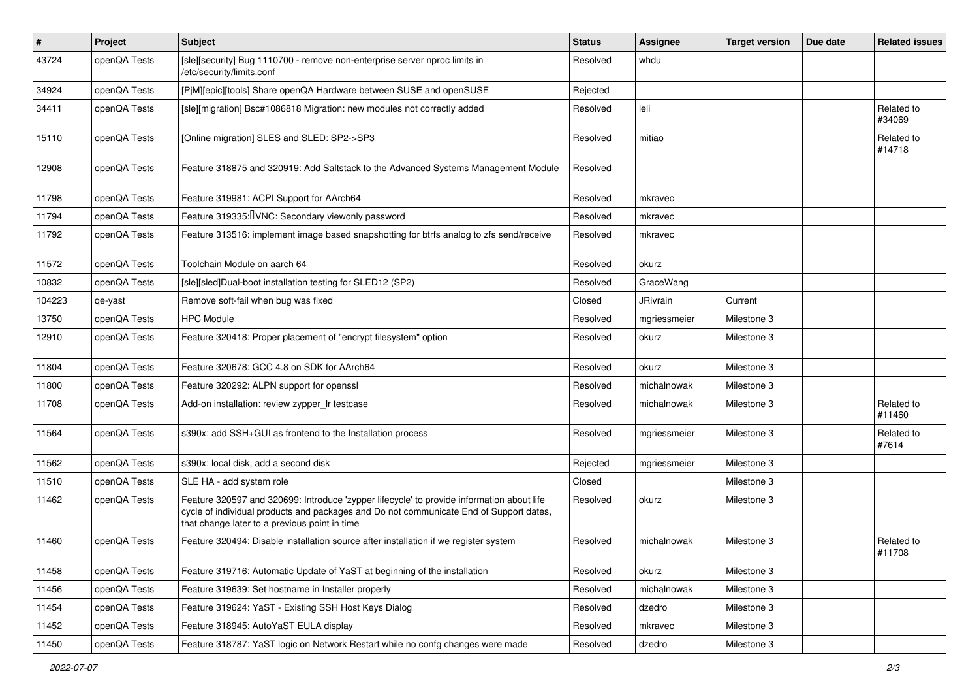| $\vert$ # | Project      | Subject                                                                                                                                                                                                                              | <b>Status</b> | <b>Assignee</b> | <b>Target version</b> | Due date | <b>Related issues</b> |
|-----------|--------------|--------------------------------------------------------------------------------------------------------------------------------------------------------------------------------------------------------------------------------------|---------------|-----------------|-----------------------|----------|-----------------------|
| 43724     | openQA Tests | [sle][security] Bug 1110700 - remove non-enterprise server nproc limits in<br>/etc/security/limits.conf                                                                                                                              | Resolved      | whdu            |                       |          |                       |
| 34924     | openQA Tests | [PjM][epic][tools] Share openQA Hardware between SUSE and openSUSE                                                                                                                                                                   | Rejected      |                 |                       |          |                       |
| 34411     | openQA Tests | [sle][migration] Bsc#1086818 Migration: new modules not correctly added                                                                                                                                                              | Resolved      | leli            |                       |          | Related to<br>#34069  |
| 15110     | openQA Tests | [Online migration] SLES and SLED: SP2->SP3                                                                                                                                                                                           | Resolved      | mitiao          |                       |          | Related to<br>#14718  |
| 12908     | openQA Tests | Feature 318875 and 320919: Add Saltstack to the Advanced Systems Management Module                                                                                                                                                   | Resolved      |                 |                       |          |                       |
| 11798     | openQA Tests | Feature 319981: ACPI Support for AArch64                                                                                                                                                                                             | Resolved      | mkravec         |                       |          |                       |
| 11794     | openQA Tests | Feature 319335: UNC: Secondary viewonly password                                                                                                                                                                                     | Resolved      | mkravec         |                       |          |                       |
| 11792     | openQA Tests | Feature 313516: implement image based snapshotting for btrfs analog to zfs send/receive                                                                                                                                              | Resolved      | mkravec         |                       |          |                       |
| 11572     | openQA Tests | Toolchain Module on aarch 64                                                                                                                                                                                                         | Resolved      | okurz           |                       |          |                       |
| 10832     | openQA Tests | [sle][sled]Dual-boot installation testing for SLED12 (SP2)                                                                                                                                                                           | Resolved      | GraceWang       |                       |          |                       |
| 104223    | qe-yast      | Remove soft-fail when bug was fixed                                                                                                                                                                                                  | Closed        | <b>JRivrain</b> | Current               |          |                       |
| 13750     | openQA Tests | <b>HPC Module</b>                                                                                                                                                                                                                    | Resolved      | mgriessmeier    | Milestone 3           |          |                       |
| 12910     | openQA Tests | Feature 320418: Proper placement of "encrypt filesystem" option                                                                                                                                                                      | Resolved      | okurz           | Milestone 3           |          |                       |
| 11804     | openQA Tests | Feature 320678: GCC 4.8 on SDK for AArch64                                                                                                                                                                                           | Resolved      | okurz           | Milestone 3           |          |                       |
| 11800     | openQA Tests | Feature 320292: ALPN support for openssl                                                                                                                                                                                             | Resolved      | michalnowak     | Milestone 3           |          |                       |
| 11708     | openQA Tests | Add-on installation: review zypper_Ir testcase                                                                                                                                                                                       | Resolved      | michalnowak     | Milestone 3           |          | Related to<br>#11460  |
| 11564     | openQA Tests | s390x: add SSH+GUI as frontend to the Installation process                                                                                                                                                                           | Resolved      | mgriessmeier    | Milestone 3           |          | Related to<br>#7614   |
| 11562     | openQA Tests | s390x: local disk, add a second disk                                                                                                                                                                                                 | Rejected      | mgriessmeier    | Milestone 3           |          |                       |
| 11510     | openQA Tests | SLE HA - add system role                                                                                                                                                                                                             | Closed        |                 | Milestone 3           |          |                       |
| 11462     | openQA Tests | Feature 320597 and 320699: Introduce 'zypper lifecycle' to provide information about life<br>cycle of individual products and packages and Do not communicate End of Support dates,<br>that change later to a previous point in time | Resolved      | okurz           | Milestone 3           |          |                       |
| 11460     | openQA Tests | Feature 320494: Disable installation source after installation if we register system                                                                                                                                                 | Resolved      | michalnowak     | Milestone 3           |          | Related to<br>#11708  |
| 11458     | openQA Tests | Feature 319716: Automatic Update of YaST at beginning of the installation                                                                                                                                                            | Resolved      | okurz           | Milestone 3           |          |                       |
| 11456     | openQA Tests | Feature 319639: Set hostname in Installer properly                                                                                                                                                                                   | Resolved      | michalnowak     | Milestone 3           |          |                       |
| 11454     | openQA Tests | Feature 319624: YaST - Existing SSH Host Keys Dialog                                                                                                                                                                                 | Resolved      | dzedro          | Milestone 3           |          |                       |
| 11452     | openQA Tests | Feature 318945: AutoYaST EULA display                                                                                                                                                                                                | Resolved      | mkravec         | Milestone 3           |          |                       |
| 11450     | openQA Tests | Feature 318787: YaST logic on Network Restart while no confg changes were made                                                                                                                                                       | Resolved      | dzedro          | Milestone 3           |          |                       |